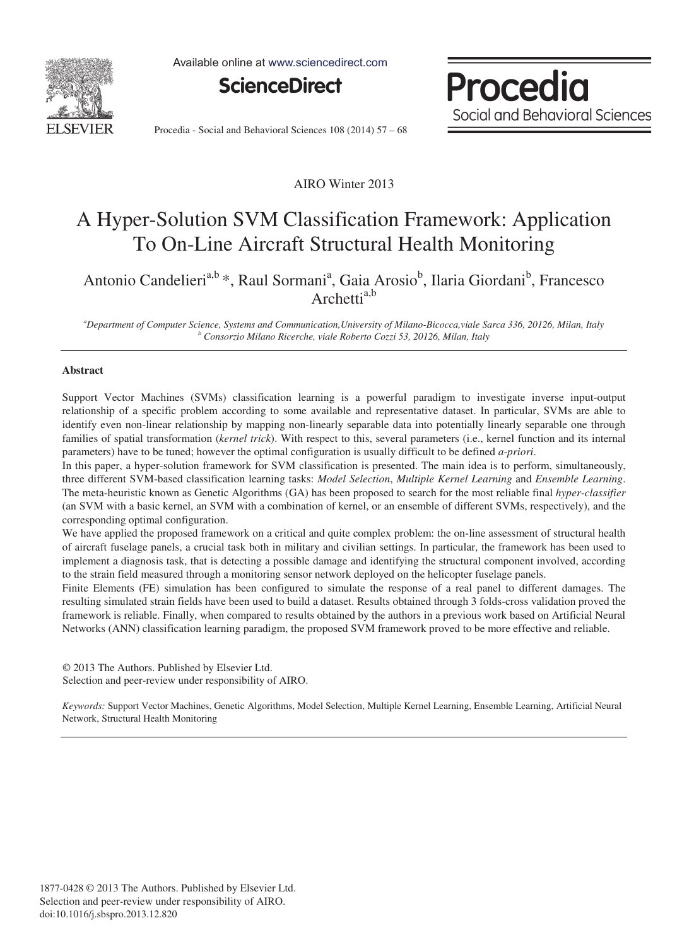

Available online at www.sciencedirect.com



Procedia Social and Behavioral Sciences

Procedia - Social and Behavioral Sciences 108 (2014) 57 – 68

# AIRO Winter 2013

# A Hyper-Solution SVM Classification Framework: Application To On-Line Aircraft Structural Health Monitoring

Antonio Candelieri<sup>a,b</sup>\*, Raul Sormani<sup>a</sup>, Gaia Arosio<sup>b</sup>, Ilaria Giordani<sup>b</sup>, Francesco Archetti<sup>a,b</sup>

*a Department of Computer Science, Systems and Communication,University of Milano-Bicocca,viale Sarca 336, 20126, Milan, Italy b Consorzio Milano Ricerche, viale Roberto Cozzi 53, 20126, Milan, Italy* 

# **Abstract**

Support Vector Machines (SVMs) classification learning is a powerful paradigm to investigate inverse input-output relationship of a specific problem according to some available and representative dataset. In particular, SVMs are able to identify even non-linear relationship by mapping non-linearly separable data into potentially linearly separable one through families of spatial transformation (*kernel trick*). With respect to this, several parameters (i.e., kernel function and its internal parameters) have to be tuned; however the optimal configuration is usually difficult to be defined *a-priori*.

In this paper, a hyper-solution framework for SVM classification is presented. The main idea is to perform, simultaneously, three different SVM-based classification learning tasks: *Model Selection*, *Multiple Kernel Learning* and *Ensemble Learning*. The meta-heuristic known as Genetic Algorithms (GA) has been proposed to search for the most reliable final *hyper-classifier* (an SVM with a basic kernel, an SVM with a combination of kernel, or an ensemble of different SVMs, respectively), and the corresponding optimal configuration.

We have applied the proposed framework on a critical and quite complex problem: the on-line assessment of structural health of aircraft fuselage panels, a crucial task both in military and civilian settings. In particular, the framework has been used to implement a diagnosis task, that is detecting a possible damage and identifying the structural component involved, according to the strain field measured through a monitoring sensor network deployed on the helicopter fuselage panels.

Finite Elements (FE) simulation has been configured to simulate the response of a real panel to different damages. The resulting simulated strain fields have been used to build a dataset. Results obtained through 3 folds-cross validation proved the framework is reliable. Finally, when compared to results obtained by the authors in a previous work based on Artificial Neural Networks (ANN) classification learning paradigm, the proposed SVM framework proved to be more effective and reliable.

© 2013 The Authors. Published by Elsevier Ltd. © 2013 The Authors. Published by Elsevier Ltd. Selection and peer-review under responsibility of AIRO. Selection and peer-review under responsibility of AIRO.

*Keywords:* Support Vector Machines, Genetic Algorithms, Model Selection, Multiple Kernel Learning, Ensemble Learning, Artificial Neural Network, Structural Health Monitoring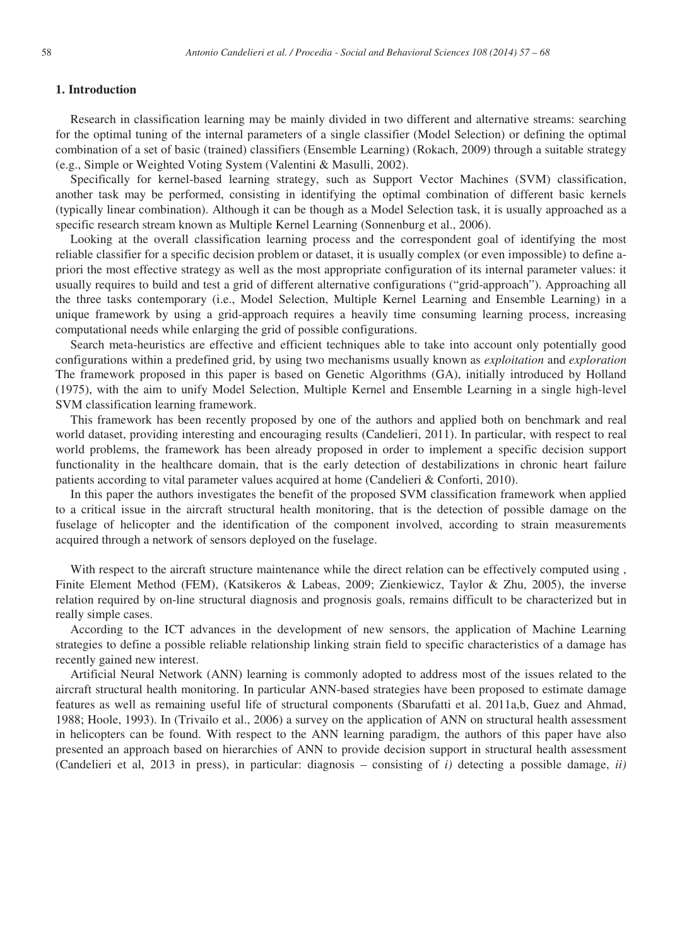# **1. Introduction**

Research in classification learning may be mainly divided in two different and alternative streams: searching for the optimal tuning of the internal parameters of a single classifier (Model Selection) or defining the optimal combination of a set of basic (trained) classifiers (Ensemble Learning) (Rokach, 2009) through a suitable strategy (e.g., Simple or Weighted Voting System (Valentini & Masulli, 2002).

Specifically for kernel-based learning strategy, such as Support Vector Machines (SVM) classification, another task may be performed, consisting in identifying the optimal combination of different basic kernels (typically linear combination). Although it can be though as a Model Selection task, it is usually approached as a specific research stream known as Multiple Kernel Learning (Sonnenburg et al., 2006).

Looking at the overall classification learning process and the correspondent goal of identifying the most reliable classifier for a specific decision problem or dataset, it is usually complex (or even impossible) to define apriori the most effective strategy as well as the most appropriate configuration of its internal parameter values: it usually requires to build and test a grid of different alternative configurations ("grid-approach"). Approaching all the three tasks contemporary (i.e., Model Selection, Multiple Kernel Learning and Ensemble Learning) in a unique framework by using a grid-approach requires a heavily time consuming learning process, increasing computational needs while enlarging the grid of possible configurations.

Search meta-heuristics are effective and efficient techniques able to take into account only potentially good configurations within a predefined grid, by using two mechanisms usually known as *exploitation* and *exploration* The framework proposed in this paper is based on Genetic Algorithms (GA), initially introduced by Holland (1975), with the aim to unify Model Selection, Multiple Kernel and Ensemble Learning in a single high-level SVM classification learning framework.

This framework has been recently proposed by one of the authors and applied both on benchmark and real world dataset, providing interesting and encouraging results (Candelieri, 2011). In particular, with respect to real world problems, the framework has been already proposed in order to implement a specific decision support functionality in the healthcare domain, that is the early detection of destabilizations in chronic heart failure patients according to vital parameter values acquired at home (Candelieri & Conforti, 2010).

In this paper the authors investigates the benefit of the proposed SVM classification framework when applied to a critical issue in the aircraft structural health monitoring, that is the detection of possible damage on the fuselage of helicopter and the identification of the component involved, according to strain measurements acquired through a network of sensors deployed on the fuselage.

With respect to the aircraft structure maintenance while the direct relation can be effectively computed using, Finite Element Method (FEM), (Katsikeros & Labeas, 2009; Zienkiewicz, Taylor & Zhu, 2005), the inverse relation required by on-line structural diagnosis and prognosis goals, remains difficult to be characterized but in really simple cases.

According to the ICT advances in the development of new sensors, the application of Machine Learning strategies to define a possible reliable relationship linking strain field to specific characteristics of a damage has recently gained new interest.

Artificial Neural Network (ANN) learning is commonly adopted to address most of the issues related to the aircraft structural health monitoring. In particular ANN-based strategies have been proposed to estimate damage features as well as remaining useful life of structural components (Sbarufatti et al. 2011a,b, Guez and Ahmad, 1988; Hoole, 1993). In (Trivailo et al., 2006) a survey on the application of ANN on structural health assessment in helicopters can be found. With respect to the ANN learning paradigm, the authors of this paper have also presented an approach based on hierarchies of ANN to provide decision support in structural health assessment (Candelieri et al, 2013 in press), in particular: diagnosis – consisting of *i)* detecting a possible damage, *ii)*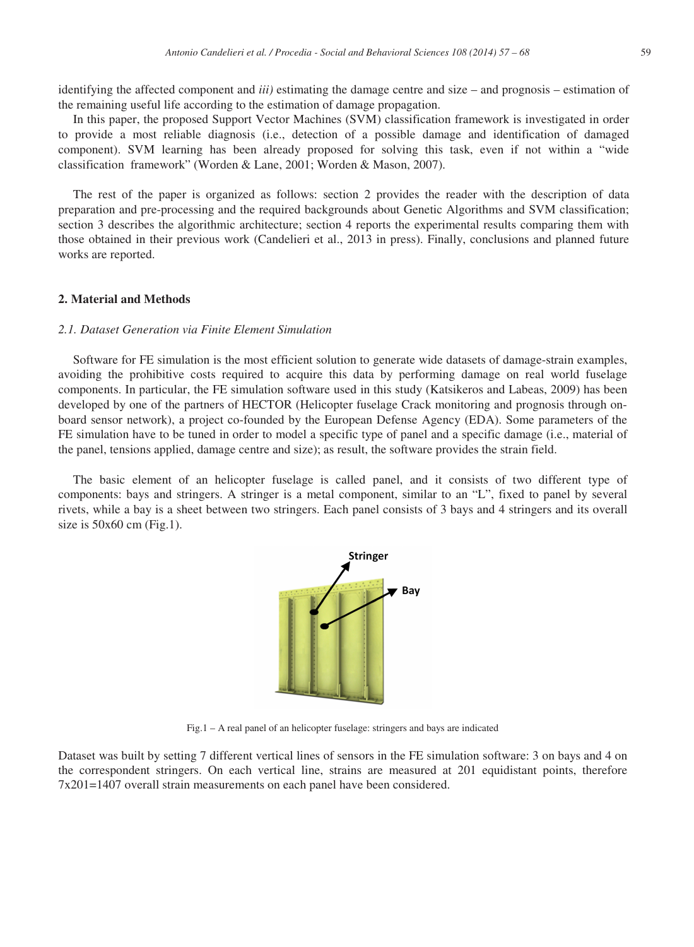identifying the affected component and *iii)* estimating the damage centre and size – and prognosis – estimation of the remaining useful life according to the estimation of damage propagation.

In this paper, the proposed Support Vector Machines (SVM) classification framework is investigated in order to provide a most reliable diagnosis (i.e., detection of a possible damage and identification of damaged component). SVM learning has been already proposed for solving this task, even if not within a "wide classification framework" (Worden & Lane, 2001; Worden & Mason, 2007).

The rest of the paper is organized as follows: section 2 provides the reader with the description of data preparation and pre-processing and the required backgrounds about Genetic Algorithms and SVM classification; section 3 describes the algorithmic architecture; section 4 reports the experimental results comparing them with those obtained in their previous work (Candelieri et al., 2013 in press). Finally, conclusions and planned future works are reported.

# **2. Material and Methods**

# *2.1. Dataset Generation via Finite Element Simulation*

Software for FE simulation is the most efficient solution to generate wide datasets of damage-strain examples, avoiding the prohibitive costs required to acquire this data by performing damage on real world fuselage components. In particular, the FE simulation software used in this study (Katsikeros and Labeas, 2009) has been developed by one of the partners of HECTOR (Helicopter fuselage Crack monitoring and prognosis through onboard sensor network), a project co-founded by the European Defense Agency (EDA). Some parameters of the FE simulation have to be tuned in order to model a specific type of panel and a specific damage (i.e., material of the panel, tensions applied, damage centre and size); as result, the software provides the strain field.

The basic element of an helicopter fuselage is called panel, and it consists of two different type of components: bays and stringers. A stringer is a metal component, similar to an "L", fixed to panel by several rivets, while a bay is a sheet between two stringers. Each panel consists of 3 bays and 4 stringers and its overall size is  $50x60$  cm (Fig.1).



Fig.1 – A real panel of an helicopter fuselage: stringers and bays are indicated

Dataset was built by setting 7 different vertical lines of sensors in the FE simulation software: 3 on bays and 4 on the correspondent stringers. On each vertical line, strains are measured at 201 equidistant points, therefore 7x201=1407 overall strain measurements on each panel have been considered.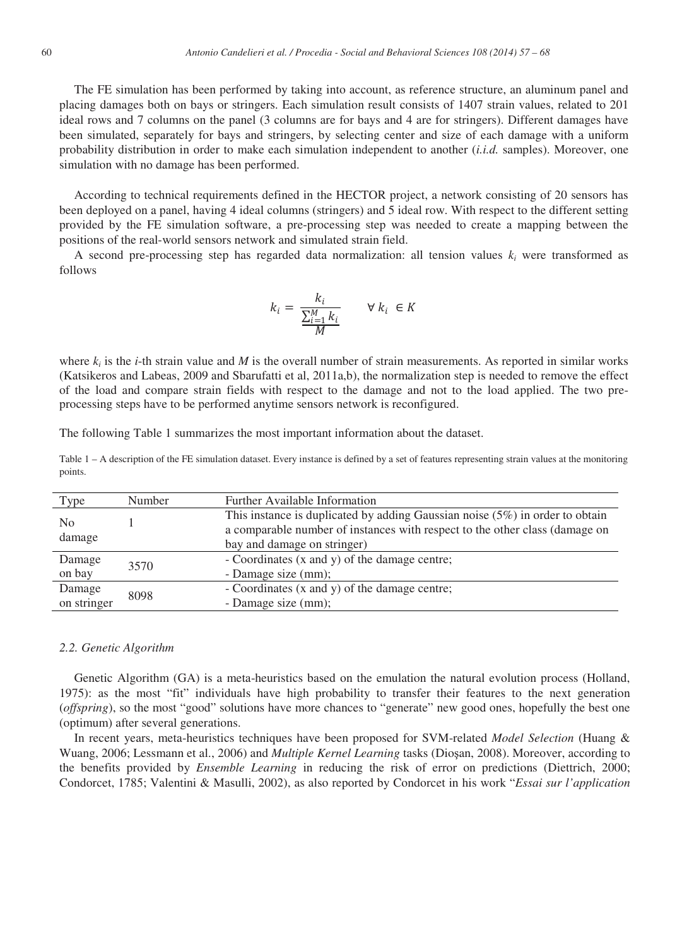The FE simulation has been performed by taking into account, as reference structure, an aluminum panel and placing damages both on bays or stringers. Each simulation result consists of 1407 strain values, related to 201 ideal rows and 7 columns on the panel (3 columns are for bays and 4 are for stringers). Different damages have been simulated, separately for bays and stringers, by selecting center and size of each damage with a uniform probability distribution in order to make each simulation independent to another (*i.i.d.* samples). Moreover, one simulation with no damage has been performed.

According to technical requirements defined in the HECTOR project, a network consisting of 20 sensors has been deployed on a panel, having 4 ideal columns (stringers) and 5 ideal row. With respect to the different setting provided by the FE simulation software, a pre-processing step was needed to create a mapping between the positions of the real-world sensors network and simulated strain field.

A second pre-processing step has regarded data normalization: all tension values  $k_i$  were transformed as follows

$$
k_i = \frac{k_i}{\frac{\sum_{i=1}^{M} k_i}{M}} \qquad \forall \ k_i \in K
$$

where  $k_i$  is the *i*-th strain value and *M* is the overall number of strain measurements. As reported in similar works (Katsikeros and Labeas, 2009 and Sbarufatti et al, 2011a,b), the normalization step is needed to remove the effect of the load and compare strain fields with respect to the damage and not to the load applied. The two preprocessing steps have to be performed anytime sensors network is reconfigured.

The following Table 1 summarizes the most important information about the dataset.

Table 1 – A description of the FE simulation dataset. Every instance is defined by a set of features representing strain values at the monitoring points.

| Type                     | Number | Further Available Information                                                                                                                                                                 |
|--------------------------|--------|-----------------------------------------------------------------------------------------------------------------------------------------------------------------------------------------------|
| N <sub>0</sub><br>damage |        | This instance is duplicated by adding Gaussian noise $(5\%)$ in order to obtain<br>a comparable number of instances with respect to the other class (damage on<br>bay and damage on stringer) |
| Damage                   | 3570   | - Coordinates (x and y) of the damage centre;                                                                                                                                                 |
| on bay                   |        | - Damage size (mm);                                                                                                                                                                           |
| Damage                   | 8098   | - Coordinates (x and y) of the damage centre;                                                                                                                                                 |
| on stringer              |        | - Damage size (mm);                                                                                                                                                                           |

#### *2.2. Genetic Algorithm*

Genetic Algorithm (GA) is a meta-heuristics based on the emulation the natural evolution process (Holland, 1975): as the most "fit" individuals have high probability to transfer their features to the next generation (*offspring*), so the most "good" solutions have more chances to "generate" new good ones, hopefully the best one (optimum) after several generations.

In recent years, meta-heuristics techniques have been proposed for SVM-related *Model Selection* (Huang & Wuang, 2006; Lessmann et al., 2006) and *Multiple Kernel Learning* tasks (Diosan, 2008). Moreover, according to the benefits provided by *Ensemble Learning* in reducing the risk of error on predictions (Diettrich, 2000; Condorcet, 1785; Valentini & Masulli, 2002), as also reported by Condorcet in his work "*Essai sur l'application*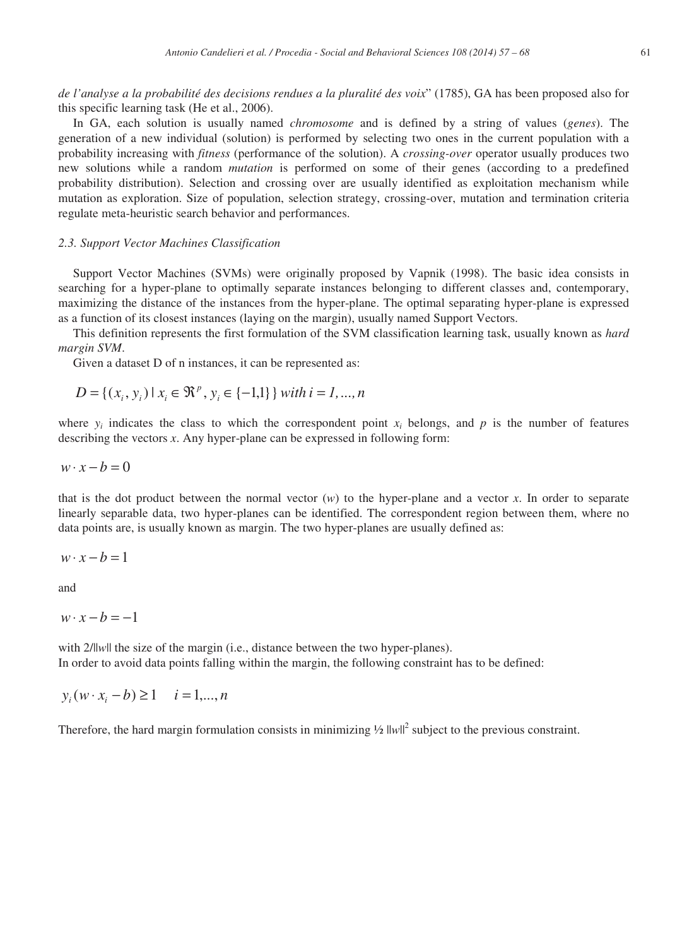*de l'analyse a la probabilité des decisions rendues a la pluralité des voix*" (1785), GA has been proposed also for this specific learning task (He et al., 2006).

In GA, each solution is usually named *chromosome* and is defined by a string of values (*genes*). The generation of a new individual (solution) is performed by selecting two ones in the current population with a probability increasing with *fitness* (performance of the solution). A *crossing-over* operator usually produces two new solutions while a random *mutation* is performed on some of their genes (according to a predefined probability distribution). Selection and crossing over are usually identified as exploitation mechanism while mutation as exploration. Size of population, selection strategy, crossing-over, mutation and termination criteria regulate meta-heuristic search behavior and performances.

# *2.3. Support Vector Machines Classification*

Support Vector Machines (SVMs) were originally proposed by Vapnik (1998). The basic idea consists in searching for a hyper-plane to optimally separate instances belonging to different classes and, contemporary, maximizing the distance of the instances from the hyper-plane. The optimal separating hyper-plane is expressed as a function of its closest instances (laying on the margin), usually named Support Vectors.

This definition represents the first formulation of the SVM classification learning task, usually known as *hard margin SVM*.

Given a dataset D of n instances, it can be represented as:

$$
D = \{(x_i, y_i) \mid x_i \in \mathfrak{R}^p, y_i \in \{-1, 1\}\} \text{ with } i = 1, ..., n
$$

where  $y_i$  indicates the class to which the correspondent point  $x_i$  belongs, and p is the number of features describing the vectors *x*. Any hyper-plane can be expressed in following form:

 $w \cdot x - b = 0$ 

that is the dot product between the normal vector  $(w)$  to the hyper-plane and a vector *x*. In order to separate linearly separable data, two hyper-planes can be identified. The correspondent region between them, where no data points are, is usually known as margin. The two hyper-planes are usually defined as:

$$
w \cdot x - b = 1
$$

and

$$
w \cdot x - b = -1
$$

with 2/||*w*|| the size of the margin (i.e., distance between the two hyper-planes). In order to avoid data points falling within the margin, the following constraint has to be defined:

 $y_i(w \cdot x_i - b) \ge 1$  *i* = 1,..., *n* 

Therefore, the hard margin formulation consists in minimizing  $\frac{1}{2}$  llwll<sup>2</sup> subject to the previous constraint.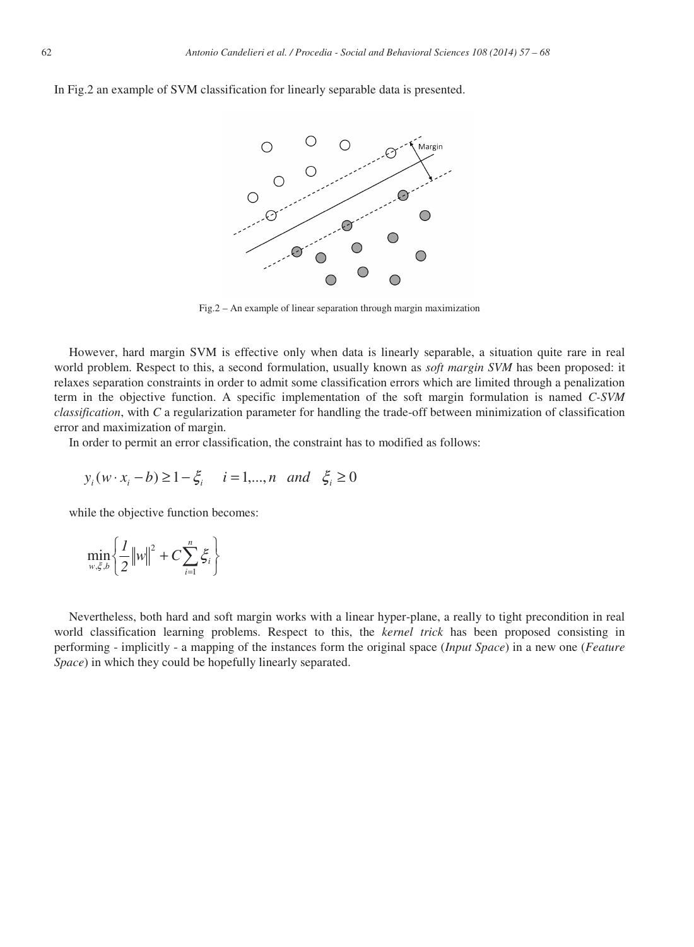In Fig.2 an example of SVM classification for linearly separable data is presented.



Fig.2 – An example of linear separation through margin maximization

However, hard margin SVM is effective only when data is linearly separable, a situation quite rare in real world problem. Respect to this, a second formulation, usually known as *soft margin SVM* has been proposed: it relaxes separation constraints in order to admit some classification errors which are limited through a penalization term in the objective function. A specific implementation of the soft margin formulation is named *C-SVM classification*, with *C* a regularization parameter for handling the trade-off between minimization of classification error and maximization of margin.

In order to permit an error classification, the constraint has to modified as follows:

$$
y_i(w \cdot x_i - b) \ge 1 - \xi_i
$$
  $i = 1,...,n$  and  $\xi_i \ge 0$ 

while the objective function becomes:

$$
\min_{w,\xi,b} \left\{ \frac{1}{2} ||w||^2 + C \sum_{i=1}^n \xi_i \right\}
$$

Nevertheless, both hard and soft margin works with a linear hyper-plane, a really to tight precondition in real world classification learning problems. Respect to this, the *kernel trick* has been proposed consisting in performing - implicitly - a mapping of the instances form the original space (*Input Space*) in a new one (*Feature Space*) in which they could be hopefully linearly separated.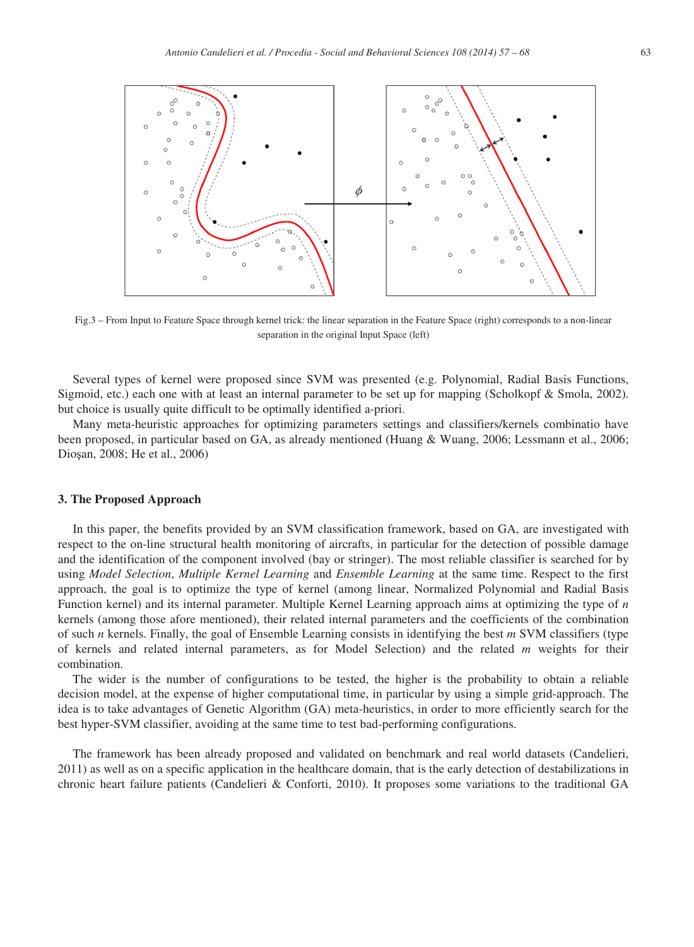

Fig.3 – From Input to Feature Space through kernel trick: the linear separation in the Feature Space (right) corresponds to a non-linear separation in the original Input Space (left)

Several types of kernel were proposed since SVM was presented (e.g. Polynomial, Radial Basis Functions, Sigmoid, etc.) each one with at least an internal parameter to be set up for mapping (Scholkopf & Smola, 2002). but choice is usually quite difficult to be optimally identified a-priori.

Many meta-heuristic approaches for optimizing parameters settings and classifiers/kernels combinatio have been proposed, in particular based on GA, as already mentioned (Huang & Wuang, 2006; Lessmann et al., 2006; Diosan, 2008; He et al., 2006)

#### **3. The Proposed Approach**

In this paper, the benefits provided by an SVM classification framework, based on GA, are investigated with respect to the on-line structural health monitoring of aircrafts, in particular for the detection of possible damage and the identification of the component involved (bay or stringer). The most reliable classifier is searched for by using *Model Selection*, *Multiple Kernel Learning* and *Ensemble Learning* at the same time. Respect to the first approach, the goal is to optimize the type of kernel (among linear, Normalized Polynomial and Radial Basis Function kernel) and its internal parameter. Multiple Kernel Learning approach aims at optimizing the type of *n* kernels (among those afore mentioned), their related internal parameters and the coefficients of the combination of such *n* kernels. Finally, the goal of Ensemble Learning consists in identifying the best *m* SVM classifiers (type of kernels and related internal parameters, as for Model Selection) and the related *m* weights for their combination.

The wider is the number of configurations to be tested, the higher is the probability to obtain a reliable decision model, at the expense of higher computational time, in particular by using a simple grid-approach. The idea is to take advantages of Genetic Algorithm (GA) meta-heuristics, in order to more efficiently search for the best hyper-SVM classifier, avoiding at the same time to test bad-performing configurations.

The framework has been already proposed and validated on benchmark and real world datasets (Candelieri, 2011) as well as on a specific application in the healthcare domain, that is the early detection of destabilizations in chronic heart failure patients (Candelieri & Conforti, 2010). It proposes some variations to the traditional GA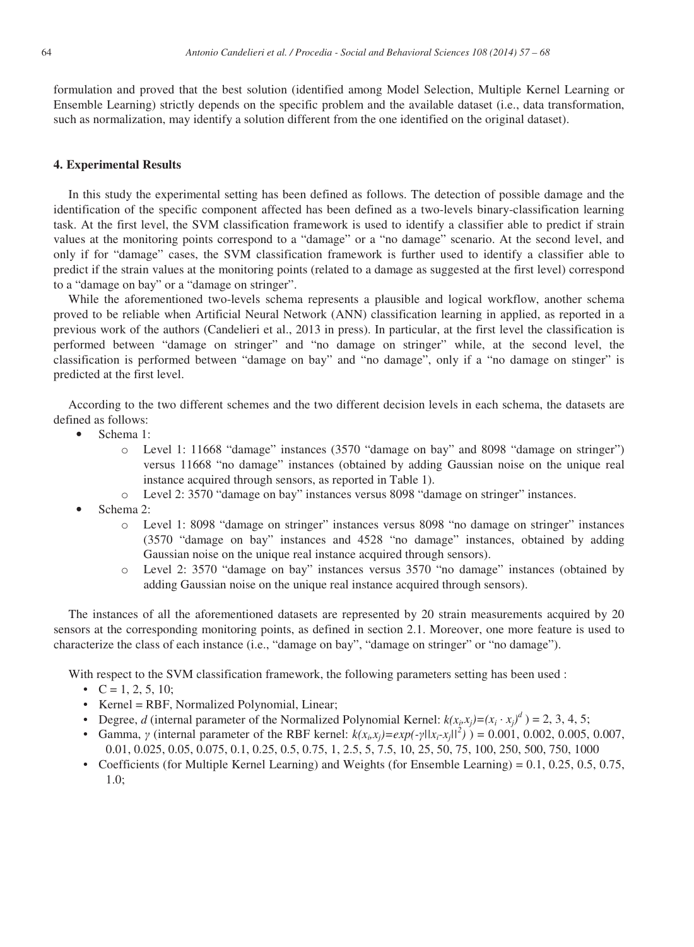formulation and proved that the best solution (identified among Model Selection, Multiple Kernel Learning or Ensemble Learning) strictly depends on the specific problem and the available dataset (i.e., data transformation, such as normalization, may identify a solution different from the one identified on the original dataset).

# **4. Experimental Results**

In this study the experimental setting has been defined as follows. The detection of possible damage and the identification of the specific component affected has been defined as a two-levels binary-classification learning task. At the first level, the SVM classification framework is used to identify a classifier able to predict if strain values at the monitoring points correspond to a "damage" or a "no damage" scenario. At the second level, and only if for "damage" cases, the SVM classification framework is further used to identify a classifier able to predict if the strain values at the monitoring points (related to a damage as suggested at the first level) correspond to a "damage on bay" or a "damage on stringer".

While the aforementioned two-levels schema represents a plausible and logical workflow, another schema proved to be reliable when Artificial Neural Network (ANN) classification learning in applied, as reported in a previous work of the authors (Candelieri et al., 2013 in press). In particular, at the first level the classification is performed between "damage on stringer" and "no damage on stringer" while, at the second level, the classification is performed between "damage on bay" and "no damage", only if a "no damage on stinger" is predicted at the first level.

According to the two different schemes and the two different decision levels in each schema, the datasets are defined as follows:

- Schema 1:
	- o Level 1: 11668 "damage" instances (3570 "damage on bay" and 8098 "damage on stringer") versus 11668 "no damage" instances (obtained by adding Gaussian noise on the unique real instance acquired through sensors, as reported in Table 1).
	- o Level 2: 3570 "damage on bay" instances versus 8098 "damage on stringer" instances.
- Schema 2:
	- o Level 1: 8098 "damage on stringer" instances versus 8098 "no damage on stringer" instances (3570 "damage on bay" instances and 4528 "no damage" instances, obtained by adding Gaussian noise on the unique real instance acquired through sensors).
	- o Level 2: 3570 "damage on bay" instances versus 3570 "no damage" instances (obtained by adding Gaussian noise on the unique real instance acquired through sensors).

The instances of all the aforementioned datasets are represented by 20 strain measurements acquired by 20 sensors at the corresponding monitoring points, as defined in section 2.1. Moreover, one more feature is used to characterize the class of each instance (i.e., "damage on bay", "damage on stringer" or "no damage").

With respect to the SVM classification framework, the following parameters setting has been used :

- $C = 1, 2, 5, 10;$
- Kernel = RBF, Normalized Polynomial, Linear;
- Degree, *d* (internal parameter of the Normalized Polynomial Kernel:  $k(x_i, x_j) = (x_i \cdot x_j)^d$ ) = 2, 3, 4, 5;
- Gamma,  $\gamma$  (internal parameter of the RBF kernel:  $k(x_i, x_j) = exp(-\gamma ||x_i x_j||^2)$ ) = 0.001, 0.002, 0.005, 0.007, 0.01, 0.025, 0.05, 0.075, 0.1, 0.25, 0.5, 0.75, 1, 2.5, 5, 7.5, 10, 25, 50, 75, 100, 250, 500, 750, 1000
- Coefficients (for Multiple Kernel Learning) and Weights (for Ensemble Learning) = 0.1, 0.25, 0.5, 0.75, 1.0;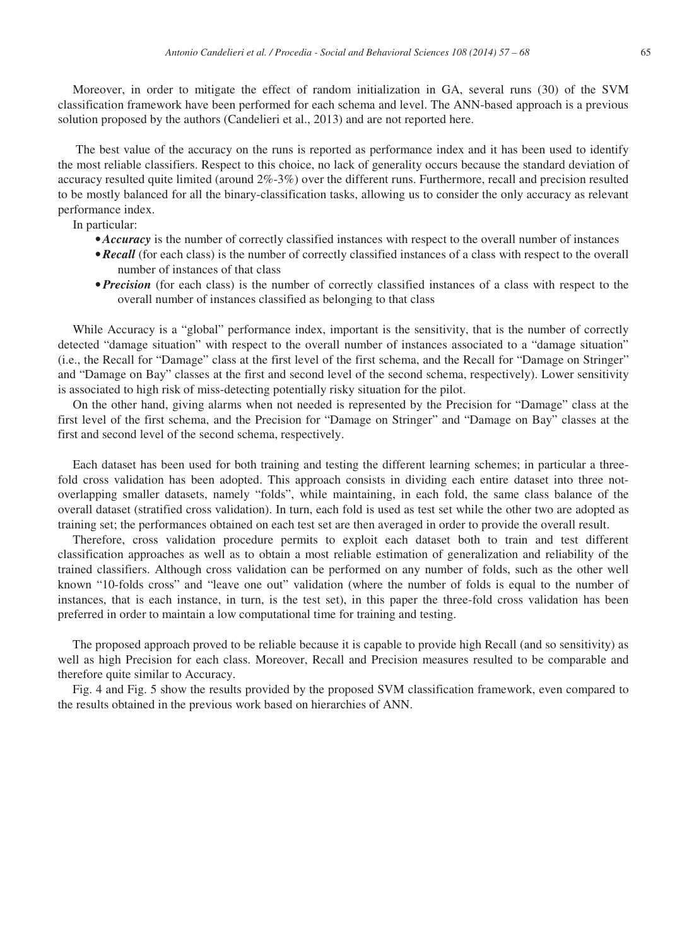Moreover, in order to mitigate the effect of random initialization in GA, several runs (30) of the SVM classification framework have been performed for each schema and level. The ANN-based approach is a previous solution proposed by the authors (Candelieri et al., 2013) and are not reported here.

 The best value of the accuracy on the runs is reported as performance index and it has been used to identify the most reliable classifiers. Respect to this choice, no lack of generality occurs because the standard deviation of accuracy resulted quite limited (around 2%-3%) over the different runs. Furthermore, recall and precision resulted to be mostly balanced for all the binary-classification tasks, allowing us to consider the only accuracy as relevant performance index.

In particular:

- •*Accuracy* is the number of correctly classified instances with respect to the overall number of instances
- •*Recall* (for each class) is the number of correctly classified instances of a class with respect to the overall number of instances of that class
- *Precision* (for each class) is the number of correctly classified instances of a class with respect to the overall number of instances classified as belonging to that class

While Accuracy is a "global" performance index, important is the sensitivity, that is the number of correctly detected "damage situation" with respect to the overall number of instances associated to a "damage situation" (i.e., the Recall for "Damage" class at the first level of the first schema, and the Recall for "Damage on Stringer" and "Damage on Bay" classes at the first and second level of the second schema, respectively). Lower sensitivity is associated to high risk of miss-detecting potentially risky situation for the pilot.

On the other hand, giving alarms when not needed is represented by the Precision for "Damage" class at the first level of the first schema, and the Precision for "Damage on Stringer" and "Damage on Bay" classes at the first and second level of the second schema, respectively.

Each dataset has been used for both training and testing the different learning schemes; in particular a threefold cross validation has been adopted. This approach consists in dividing each entire dataset into three notoverlapping smaller datasets, namely "folds", while maintaining, in each fold, the same class balance of the overall dataset (stratified cross validation). In turn, each fold is used as test set while the other two are adopted as training set; the performances obtained on each test set are then averaged in order to provide the overall result.

Therefore, cross validation procedure permits to exploit each dataset both to train and test different classification approaches as well as to obtain a most reliable estimation of generalization and reliability of the trained classifiers. Although cross validation can be performed on any number of folds, such as the other well known "10-folds cross" and "leave one out" validation (where the number of folds is equal to the number of instances, that is each instance, in turn, is the test set), in this paper the three-fold cross validation has been preferred in order to maintain a low computational time for training and testing.

The proposed approach proved to be reliable because it is capable to provide high Recall (and so sensitivity) as well as high Precision for each class. Moreover, Recall and Precision measures resulted to be comparable and therefore quite similar to Accuracy.

Fig. 4 and Fig. 5 show the results provided by the proposed SVM classification framework, even compared to the results obtained in the previous work based on hierarchies of ANN.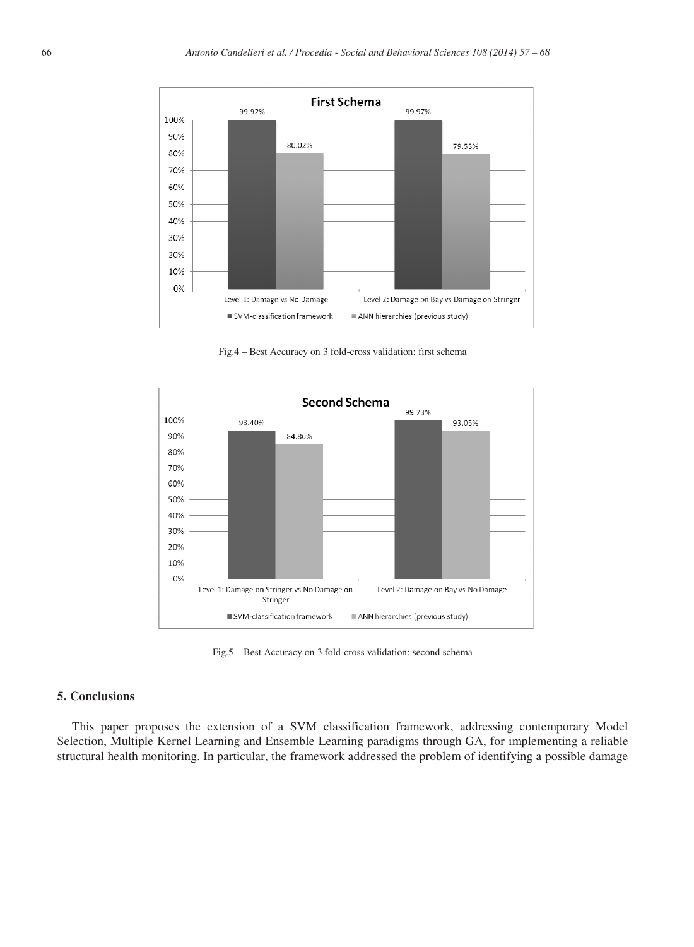

Fig.4 – Best Accuracy on 3 fold-cross validation: first schema



Fig.5 – Best Accuracy on 3 fold-cross validation: second schema

# **5. Conclusions**

This paper proposes the extension of a SVM classification framework, addressing contemporary Model Selection, Multiple Kernel Learning and Ensemble Learning paradigms through GA, for implementing a reliable structural health monitoring. In particular, the framework addressed the problem of identifying a possible damage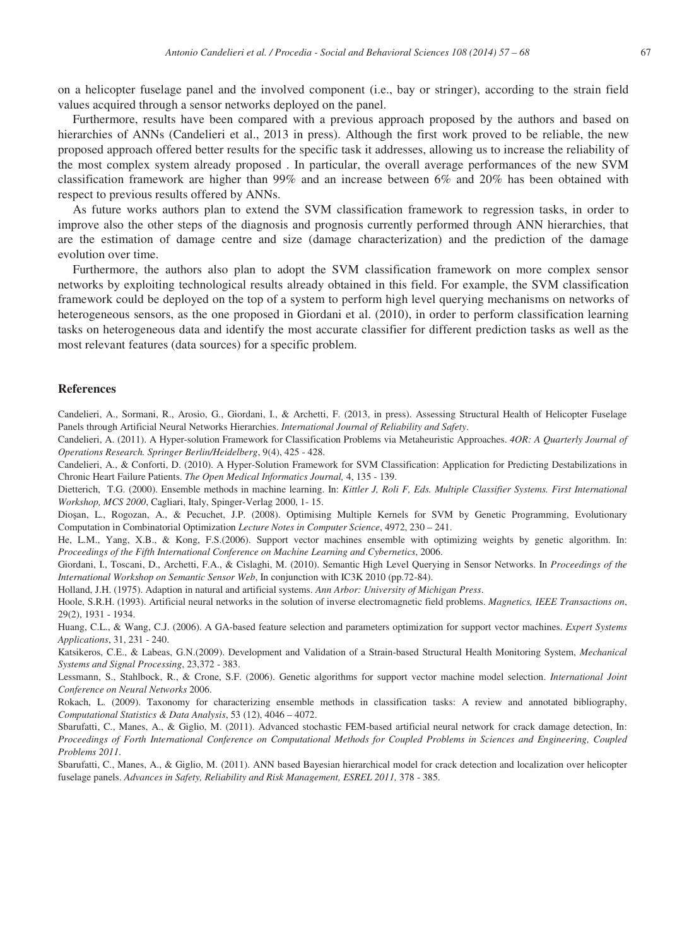on a helicopter fuselage panel and the involved component (i.e., bay or stringer), according to the strain field values acquired through a sensor networks deployed on the panel.

Furthermore, results have been compared with a previous approach proposed by the authors and based on hierarchies of ANNs (Candelieri et al., 2013 in press). Although the first work proved to be reliable, the new proposed approach offered better results for the specific task it addresses, allowing us to increase the reliability of the most complex system already proposed . In particular, the overall average performances of the new SVM classification framework are higher than 99% and an increase between 6% and 20% has been obtained with respect to previous results offered by ANNs.

As future works authors plan to extend the SVM classification framework to regression tasks, in order to improve also the other steps of the diagnosis and prognosis currently performed through ANN hierarchies, that are the estimation of damage centre and size (damage characterization) and the prediction of the damage evolution over time.

Furthermore, the authors also plan to adopt the SVM classification framework on more complex sensor networks by exploiting technological results already obtained in this field. For example, the SVM classification framework could be deployed on the top of a system to perform high level querying mechanisms on networks of heterogeneous sensors, as the one proposed in Giordani et al. (2010), in order to perform classification learning tasks on heterogeneous data and identify the most accurate classifier for different prediction tasks as well as the most relevant features (data sources) for a specific problem.

# **References**

Candelieri, A., Sormani, R., Arosio, G., Giordani, I., & Archetti, F. (2013, in press). Assessing Structural Health of Helicopter Fuselage Panels through Artificial Neural Networks Hierarchies. *International Journal of Reliability and Safety*.

Candelieri, A. (2011). A Hyper-solution Framework for Classification Problems via Metaheuristic Approaches. *4OR: A Quarterly Journal of Operations Research. Springer Berlin/Heidelberg*, 9(4), 425 - 428.

Candelieri, A., & Conforti, D. (2010). A Hyper-Solution Framework for SVM Classification: Application for Predicting Destabilizations in Chronic Heart Failure Patients. *The Open Medical Informatics Journal,* 4, 135 - 139.

Dietterich, T.G. (2000). Ensemble methods in machine learning. In: *Kittler J, Roli F, Eds. Multiple Classifier Systems. First International Workshop, MCS 2000*, Cagliari, Italy, Spinger-Verlag 2000, 1- 15.

Diosan, L., Rogozan, A., & Pecuchet, J.P. (2008). Optimising Multiple Kernels for SVM by Genetic Programming, Evolutionary Computation in Combinatorial Optimization *Lecture Notes in Computer Science*, 4972, 230 – 241.

He, L.M., Yang, X.B., & Kong, F.S.(2006). Support vector machines ensemble with optimizing weights by genetic algorithm. In: *Proceedings of the Fifth International Conference on Machine Learning and Cybernetics*, 2006.

Giordani, I., Toscani, D., Archetti, F.A., & Cislaghi, M. (2010). Semantic High Level Querying in Sensor Networks. In *Proceedings of the International Workshop on Semantic Sensor Web*, In conjunction with IC3K 2010 (pp.72-84).

Holland, J.H. (1975). Adaption in natural and artificial systems. *Ann Arbor: University of Michigan Press*.

Hoole, S.R.H. (1993). Artificial neural networks in the solution of inverse electromagnetic field problems. *Magnetics, IEEE Transactions on*, 29(2), 1931 - 1934.

Huang, C.L., & Wang, C.J. (2006). A GA-based feature selection and parameters optimization for support vector machines. *Expert Systems Applications*, 31, 231 - 240.

Katsikeros, C.E., & Labeas, G.N.(2009). Development and Validation of a Strain-based Structural Health Monitoring System, *Mechanical Systems and Signal Processing*, 23,372 - 383.

Lessmann, S., Stahlbock, R., & Crone, S.F. (2006). Genetic algorithms for support vector machine model selection. *International Joint Conference on Neural Networks* 2006.

Rokach, L. (2009). Taxonomy for characterizing ensemble methods in classification tasks: A review and annotated bibliography, *Computational Statistics & Data Analysis*, 53 (12), 4046 – 4072.

Sbarufatti, C., Manes, A., & Giglio, M. (2011). Advanced stochastic FEM-based artificial neural network for crack damage detection, In: *Proceedings of Forth International Conference on Computational Methods for Coupled Problems in Sciences and Engineering, Coupled Problems 2011*.

Sbarufatti, C., Manes, A., & Giglio, M. (2011). ANN based Bayesian hierarchical model for crack detection and localization over helicopter fuselage panels. *Advances in Safety, Reliability and Risk Management, ESREL 2011,* 378 - 385.